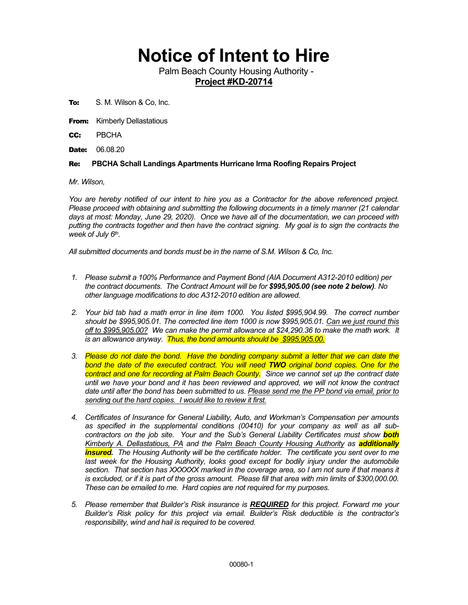## **Notice of Intent to Hire**

Palm Beach County Housing Authority - **Project #KD-20714**

To: S. M. Wilson & Co, Inc.

**From:** Kimberly Dellastatious

CC: PBCHA

**Date: 06.08.20** 

## Re: **PBCHA Schall Landings Apartments Hurricane Irma Roofing Repairs Project**

*Mr. Wilson,*

*You are hereby notified of our intent to hire you as a Contractor for the above referenced project. Please proceed with obtaining and submitting the following documents in a timely manner (21 calendar days at most: Monday, June 29, 2020). Once we have all of the documentation, we can proceed with putting the contracts together and then have the contract signing. My goal is to sign the contracts the week of July 6th.* 

*All submitted documents and bonds must be in the name of S.M. Wilson & Co, Inc.*

- *1. Please submit a 100% Performance and Payment Bond (AIA Document A312-2010 edition) per the contract documents. The Contract Amount will be for \$995,905.00 (see note 2 below). No other language modifications to doc A312-2010 edition are allowed.*
- *2. Your bid tab had a math error in line item 1000. You listed \$995,904.99. The correct number should be \$995,905.01. The corrected line item 1000 is now \$995,905.01. Can we just round this off to \$995,905.00? We can make the permit allowance at \$24,290.36 to make the math work. It is an allowance anyway. Thus, the bond amounts should be \$995,905.00.*
- *3. Please do not date the bond. Have the bonding company submit a letter that we can date the bond the date of the executed contract. You will need TWO original bond copies. One for the contract and one for recording at Palm Beach County. Since we cannot set up the contract date until we have your bond and it has been reviewed and approved, we will not know the contract date until after the bond has been submitted to us. Please send me the PP bond via email, prior to sending out the hard copies. I would like to review it first.*
- *4. Certificates of Insurance for General Liability, Auto, and Workman's Compensation per amounts as specified in the supplemental conditions (00410) for your company as well as all subcontractors on the job site. Your and the Sub's General Liability Certificates must show both Kimberly A. Dellastatious, PA and the Palm Beach County Housing Authority as additionally insured. The Housing Authority will be the certificate holder. The certificate you sent over to me last week for the Housing Authority, looks good except for bodily injury under the automobile section. That section has XXXXXX marked in the coverage area, so I am not sure if that means it is excluded, or if it is part of the gross amount. Please fill that area with min limits of \$300,000.00. These can be emailed to me. Hard copies are not required for my purposes.*
- *5. Please remember that Builder's Risk insurance is REQUIRED for this project. Forward me your Builder's Risk policy for this project via email. Builder's Risk deductible is the contractor's responsibility, wind and hail is required to be covered.*